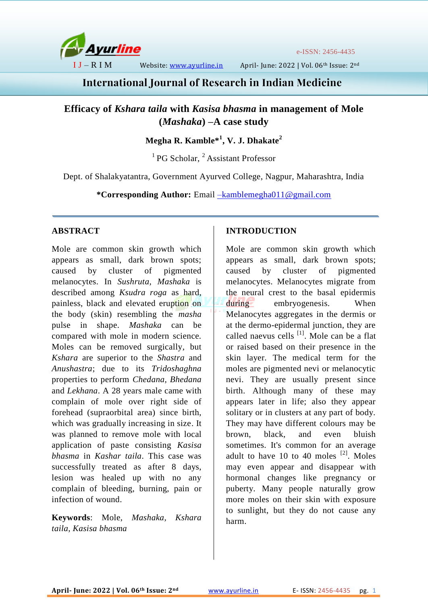

e-ISSN: 2456-4435

I J – R I M Website: [www.ayurline.in](http://www.ayurline.in/) April- June: 2022 | Vol. 06th Issue: 2nd

# **International Journal of Research in Indian Medicine**

**Efficacy of** *Kshara taila* **with** *Kasisa bhasma* **in management of Mole (***Mashaka***) –A case study**

## **Megha R. Kamble\*<sup>1</sup> , V. J. Dhakate<sup>2</sup>**

 $<sup>1</sup>$  PG Scholar,  $<sup>2</sup>$  Assistant Professor</sup></sup>

Dept. of Shalakyatantra, Government Ayurved College, Nagpur, Maharashtra, India

**\*Corresponding Author:** Email [–kamblemegha011@gmail.com](mailto:–kamblemegha011@gmail.com)

## **ABSTRACT**

Mole are common skin growth which appears as small, dark brown spots; caused by cluster of pigmented melanocytes. In *Sushruta, Mashaka* is described among *Ksudra roga* as hard, painless, black and elevated eruption on the body (skin) resembling the *masha* pulse in shape. *Mashaka* can be compared with mole in modern science. Moles can be removed surgically, but *Kshara* are superior to the *Shastra* and *Anushastra*; due to its *Tridoshaghna* properties to perform *Chedana, Bhedana* and *Lekhana*. A 28 years male came with complain of mole over right side of forehead (supraorbital area) since birth, which was gradually increasing in size. It was planned to remove mole with local application of paste consisting *Kasisa bhasma* in *Kashar taila*. This case was successfully treated as after 8 days, lesion was healed up with no any complain of bleeding, burning, pain or infection of wound.

**Keywords**: Mole, *Mashaka, Kshara taila, Kasisa bhasma*

## **INTRODUCTION**

Mole are common skin growth which appears as small, dark brown spots; caused by cluster of pigmented melanocytes. Melanocytes migrate from the neural crest to the basal epidermis during embryogenesis. When Melanocytes aggregates in the dermis or at the dermo-epidermal junction, they are called naevus cells <sup>[1]</sup>. Mole can be a flat or raised based on their presence in the skin layer. The medical term for the moles are pigmented nevi or melanocytic nevi. They are usually present since birth. Although many of these may appears later in life; also they appear solitary or in clusters at any part of body. They may have different colours may be brown, black, and even bluish sometimes. It's common for an average adult to have 10 to 40 moles  $[2]$ . Moles may even appear and disappear with hormonal changes like pregnancy or puberty. Many people naturally grow more moles on their skin with exposure to sunlight, but they do not cause any harm.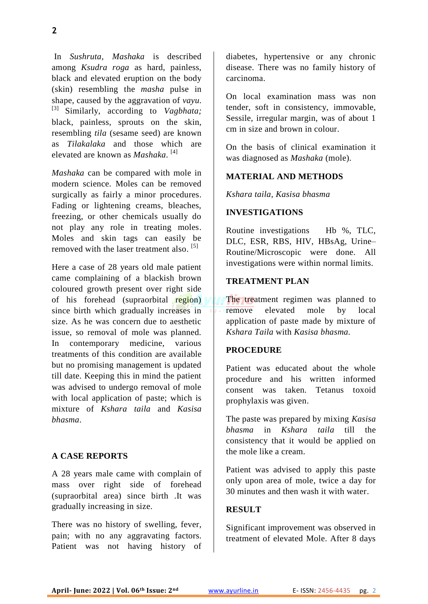In *Sushruta, Mashaka* is described among *Ksudra roga* as hard, painless, black and elevated eruption on the body (skin) resembling the *masha* pulse in shape, caused by the aggravation of *vayu*. [3] Similarly, according to *Vagbhata;* black, painless, sprouts on the skin, resembling *tila* (sesame seed) are known as *Tilakalaka* and those which are elevated are known as *Mashaka*. [4]

*Mashaka* can be compared with mole in modern science. Moles can be removed surgically as fairly a minor procedures. Fading or lightening creams, bleaches, freezing, or other chemicals usually do not play any role in treating moles. Moles and skin tags can easily be removed with the laser treatment also.<sup>[5]</sup>

Here a case of 28 years old male patient came complaining of a blackish brown coloured growth present over right side of his forehead (supraorbital region) since birth which gradually increases in size. As he was concern due to aesthetic issue, so removal of mole was planned. In contemporary medicine, various treatments of this condition are available but no promising management is updated till date. Keeping this in mind the patient was advised to undergo removal of mole with local application of paste; which is mixture of *Kshara taila* and *Kasisa bhasma*.

#### **A CASE REPORTS**

A 28 years male came with complain of mass over right side of forehead (supraorbital area) since birth .It was gradually increasing in size.

There was no history of swelling, fever, pain; with no any aggravating factors. Patient was not having history of diabetes, hypertensive or any chronic disease. There was no family history of carcinoma.

On local examination mass was non tender, soft in consistency, immovable, Sessile, irregular margin, was of about 1 cm in size and brown in colour.

On the basis of clinical examination it was diagnosed as *Mashaka* (mole).

#### **MATERIAL AND METHODS**

*Kshara taila, Kasisa bhasma* 

#### **INVESTIGATIONS**

Routine investigations Hb %, TLC, DLC, ESR, RBS, HIV, HBsAg, Urine– Routine/Microscopic were done. All investigations were within normal limits.

#### **TREATMENT PLAN**

The treatment regimen was planned to remove elevated mole by local application of paste made by mixture of *Kshara Taila* with *Kasisa bhasma.*

### **PROCEDURE**

Patient was educated about the whole procedure and his written informed consent was taken. Tetanus toxoid prophylaxis was given.

The paste was prepared by mixing *Kasisa bhasma* in *Kshara taila* till the consistency that it would be applied on the mole like a cream.

Patient was advised to apply this paste only upon area of mole, twice a day for 30 minutes and then wash it with water.

#### **RESULT**

Significant improvement was observed in treatment of elevated Mole. After 8 days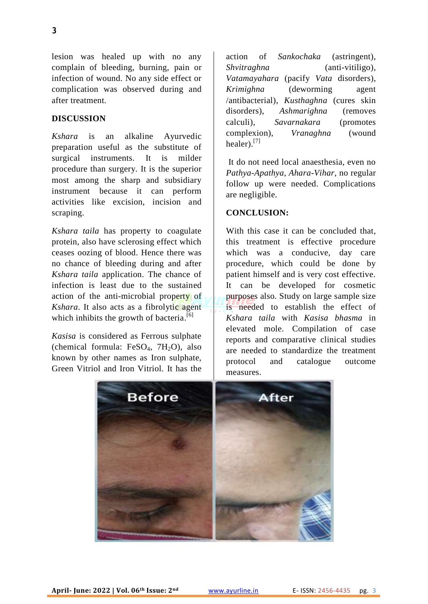lesion was healed up with no any complain of bleeding, burning, pain or infection of wound. No any side effect or complication was observed during and after treatment.

#### **DISCUSSION**

*Kshara* is an alkaline Ayurvedic preparation useful as the substitute of surgical instruments. It is milder procedure than surgery. It is the superior most among the sharp and subsidiary instrument because it can perform activities like excision, incision and scraping.

*Kshara taila* has property to coagulate protein, also have sclerosing effect which ceases oozing of blood. Hence there was no chance of bleeding during and after *Kshara taila* application. The chance of infection is least due to the sustained action of the anti-microbial property of *Kshara*. It also acts as a fibrolytic agent which inhibits the growth of bacteria.<sup>[6]</sup>

*Kasisa* is considered as Ferrous sulphate (chemical formula:  $FeSO<sub>4</sub>$ ,  $7H<sub>2</sub>O$ ), also known by other names as Iron sulphate, Green Vitriol and Iron Vitriol. It has the

action of *Sankochaka* (astringent), *Shvitraghna* (anti-vitiligo), *Vatamayahara* (pacify *Vata* disorders), *Krimighna* (deworming agent /antibacterial), *Kusthaghna* (cures skin disorders), *Ashmarighna* (removes calculi), *Savarnakara* (promotes complexion), *Vranaghna* (wound healer).<sup>[7]</sup>

It do not need local anaesthesia, even no *Pathya-Apathya, Ahara-Vihar*, no regular follow up were needed. Complications are negligible.

#### **CONCLUSION:**

With this case it can be concluded that, this treatment is effective procedure which was a conducive, day care procedure, which could be done by patient himself and is very cost effective. It can be developed for cosmetic purposes also. Study on large sample size is needed to establish the effect of *Kshara taila* with *Kasisa bhasma* in elevated mole. Compilation of case reports and comparative clinical studies are needed to standardize the treatment protocol and catalogue outcome measures.